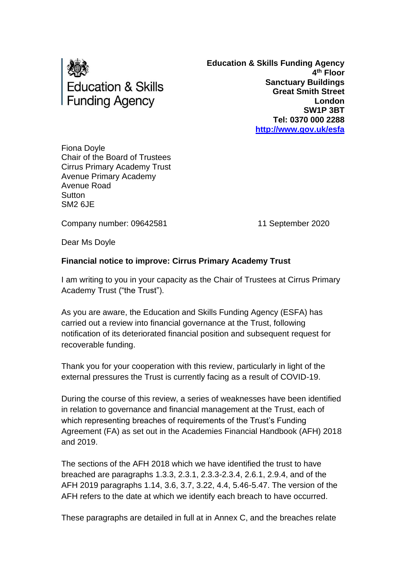

**Education & Skills Funding Agency 4 th Floor Sanctuary Buildings Great Smith Street London SW1P 3BT Tel: 0370 000 2288 <http://www.gov.uk/esfa>**

Fiona Doyle Chair of the Board of Trustees Cirrus Primary Academy Trust Avenue Primary Academy Avenue Road **Sutton** SM2 6JE

Company number: 09642581 11 September 2020

Dear Ms Doyle

# **Financial notice to improve: Cirrus Primary Academy Trust**

I am writing to you in your capacity as the Chair of Trustees at Cirrus Primary Academy Trust ("the Trust").

As you are aware, the Education and Skills Funding Agency (ESFA) has carried out a review into financial governance at the Trust, following notification of its deteriorated financial position and subsequent request for recoverable funding.

Thank you for your cooperation with this review, particularly in light of the external pressures the Trust is currently facing as a result of COVID-19.

During the course of this review, a series of weaknesses have been identified in relation to governance and financial management at the Trust, each of which representing breaches of requirements of the Trust's Funding Agreement (FA) as set out in the Academies Financial Handbook (AFH) 2018 and 2019.

The sections of the AFH 2018 which we have identified the trust to have breached are paragraphs 1.3.3, 2.3.1, 2.3.3-2.3.4, 2.6.1, 2.9.4, and of the AFH 2019 paragraphs 1.14, 3.6, 3.7, 3.22, 4.4, 5.46-5.47. The version of the AFH refers to the date at which we identify each breach to have occurred.

These paragraphs are detailed in full at in Annex C, and the breaches relate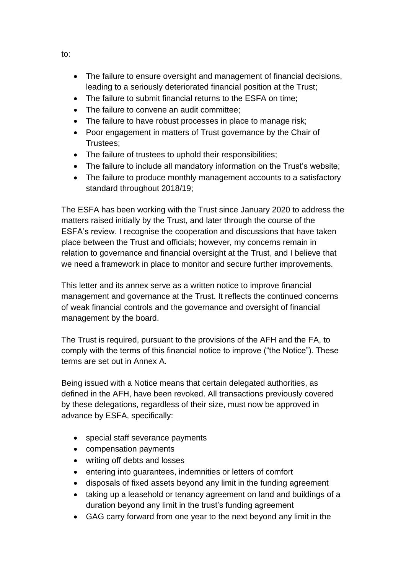- The failure to ensure oversight and management of financial decisions, leading to a seriously deteriorated financial position at the Trust;
- The failure to submit financial returns to the ESFA on time;
- The failure to convene an audit committee:
- The failure to have robust processes in place to manage risk;
- Poor engagement in matters of Trust governance by the Chair of Trustees;
- The failure of trustees to uphold their responsibilities;
- The failure to include all mandatory information on the Trust's website;
- The failure to produce monthly management accounts to a satisfactory standard throughout 2018/19;

The ESFA has been working with the Trust since January 2020 to address the matters raised initially by the Trust, and later through the course of the ESFA's review. I recognise the cooperation and discussions that have taken place between the Trust and officials; however, my concerns remain in relation to governance and financial oversight at the Trust, and I believe that we need a framework in place to monitor and secure further improvements.

This letter and its annex serve as a written notice to improve financial management and governance at the Trust. It reflects the continued concerns of weak financial controls and the governance and oversight of financial management by the board.

The Trust is required, pursuant to the provisions of the AFH and the FA, to comply with the terms of this financial notice to improve ("the Notice"). These terms are set out in Annex A.

Being issued with a Notice means that certain delegated authorities, as defined in the AFH, have been revoked. All transactions previously covered by these delegations, regardless of their size, must now be approved in advance by ESFA, specifically:

- special staff severance payments
- compensation payments
- writing off debts and losses
- entering into guarantees, indemnities or letters of comfort
- disposals of fixed assets beyond any limit in the funding agreement
- taking up a leasehold or tenancy agreement on land and buildings of a duration beyond any limit in the trust's funding agreement
- GAG carry forward from one year to the next beyond any limit in the

to: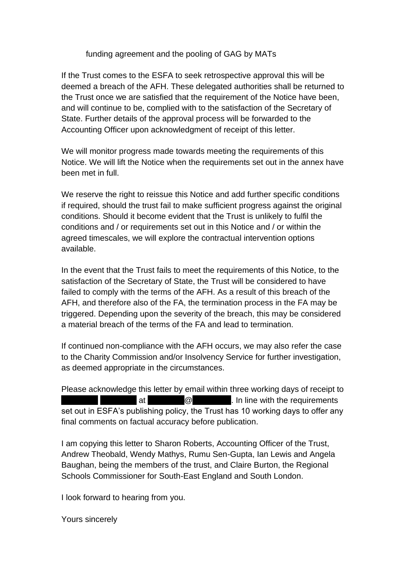## funding agreement and the pooling of GAG by MATs

If the Trust comes to the ESFA to seek retrospective approval this will be deemed a breach of the AFH. These delegated authorities shall be returned to the Trust once we are satisfied that the requirement of the Notice have been, and will continue to be, complied with to the satisfaction of the Secretary of State. Further details of the approval process will be forwarded to the Accounting Officer upon acknowledgment of receipt of this letter.

We will monitor progress made towards meeting the requirements of this Notice. We will lift the Notice when the requirements set out in the annex have been met in full.

We reserve the right to reissue this Notice and add further specific conditions if required, should the trust fail to make sufficient progress against the original conditions. Should it become evident that the Trust is unlikely to fulfil the conditions and / or requirements set out in this Notice and / or within the agreed timescales, we will explore the contractual intervention options available.

In the event that the Trust fails to meet the requirements of this Notice, to the satisfaction of the Secretary of State, the Trust will be considered to have failed to comply with the terms of the AFH. As a result of this breach of the AFH, and therefore also of the FA, the termination process in the FA may be triggered. Depending upon the severity of the breach, this may be considered a material breach of the terms of the FA and lead to termination.

If continued non-compliance with the AFH occurs, we may also refer the case to the Charity Commission and/or Insolvency Service for further investigation, as deemed appropriate in the circumstances.

Please acknowledge this letter by email within three working days of receipt to  $\begin{bmatrix} \pi \end{bmatrix}$  at  $\begin{bmatrix} \varpi \end{bmatrix}$   $\begin{bmatrix} \varpi \end{bmatrix}$ . In line with the requirements set out in ESFA's publishing policy, the Trust has 10 working days to offer any final comments on factual accuracy before publication.

I am copying this letter to Sharon Roberts, Accounting Officer of the Trust, Andrew Theobald, Wendy Mathys, Rumu Sen-Gupta, Ian Lewis and Angela Baughan, being the members of the trust, and Claire Burton, the Regional Schools Commissioner for South-East England and South London.

I look forward to hearing from you.

Yours sincerely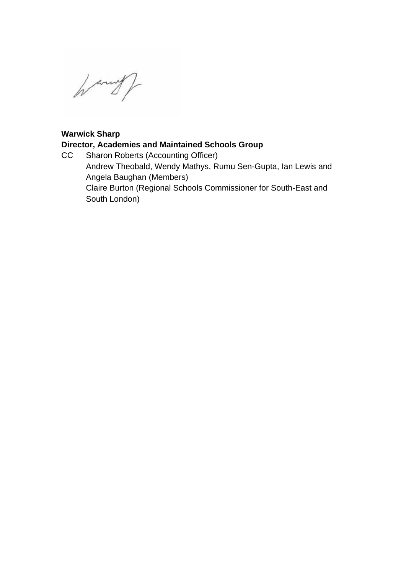hanny)

# **Warwick Sharp**

# **Director, Academies and Maintained Schools Group**

CC Sharon Roberts (Accounting Officer) Andrew Theobald, Wendy Mathys, Rumu Sen-Gupta, Ian Lewis and Angela Baughan (Members) Claire Burton (Regional Schools Commissioner for South-East and South London)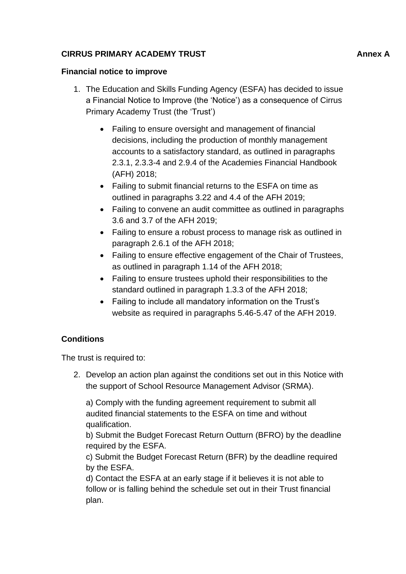# **CIRRUS PRIMARY ACADEMY TRUST AND ANNOUNCED ANNOUNCED Annex A**

## **Financial notice to improve**

- 1. The Education and Skills Funding Agency (ESFA) has decided to issue a Financial Notice to Improve (the 'Notice') as a consequence of Cirrus Primary Academy Trust (the 'Trust')
	- Failing to ensure oversight and management of financial decisions, including the production of monthly management accounts to a satisfactory standard, as outlined in paragraphs 2.3.1, 2.3.3-4 and 2.9.4 of the Academies Financial Handbook (AFH) 2018;
	- Failing to submit financial returns to the ESFA on time as outlined in paragraphs 3.22 and 4.4 of the AFH 2019;
	- Failing to convene an audit committee as outlined in paragraphs 3.6 and 3.7 of the AFH 2019;
	- Failing to ensure a robust process to manage risk as outlined in paragraph 2.6.1 of the AFH 2018;
	- Failing to ensure effective engagement of the Chair of Trustees, as outlined in paragraph 1.14 of the AFH 2018;
	- Failing to ensure trustees uphold their responsibilities to the standard outlined in paragraph 1.3.3 of the AFH 2018;
	- Failing to include all mandatory information on the Trust's website as required in paragraphs 5.46-5.47 of the AFH 2019.

# **Conditions**

The trust is required to:

2. Develop an action plan against the conditions set out in this Notice with the support of School Resource Management Advisor (SRMA).

a) Comply with the funding agreement requirement to submit all audited financial statements to the ESFA on time and without qualification.

b) Submit the Budget Forecast Return Outturn (BFRO) by the deadline required by the ESFA.

c) Submit the Budget Forecast Return (BFR) by the deadline required by the ESFA.

d) Contact the ESFA at an early stage if it believes it is not able to follow or is falling behind the schedule set out in their Trust financial plan.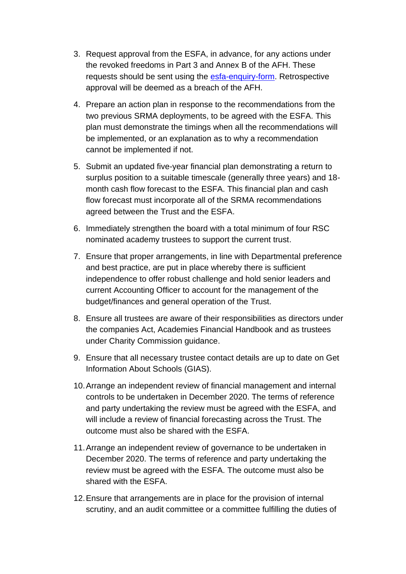- 3. Request approval from the ESFA, in advance, for any actions under the revoked freedoms in Part 3 and Annex B of the AFH. These requests should be sent using the [esfa-enquiry-form.](https://form.education.gov.uk/en/AchieveForms/?form_uri=sandbox-publish://AF-Process-f9f4f5a1-936f-448b-bbeb-9dcdd595f468/AF-Stage-8aa41278-3cdd-45a3-ad87-80cbffb8b992/definition.json&redirectlink=%2Fen&cancelRedirectLink=%2Fen) Retrospective approval will be deemed as a breach of the AFH.
- 4. Prepare an action plan in response to the recommendations from the two previous SRMA deployments, to be agreed with the ESFA. This plan must demonstrate the timings when all the recommendations will be implemented, or an explanation as to why a recommendation cannot be implemented if not.
- 5. Submit an updated five-year financial plan demonstrating a return to surplus position to a suitable timescale (generally three years) and 18 month cash flow forecast to the ESFA. This financial plan and cash flow forecast must incorporate all of the SRMA recommendations agreed between the Trust and the ESFA.
- 6. Immediately strengthen the board with a total minimum of four RSC nominated academy trustees to support the current trust.
- 7. Ensure that proper arrangements, in line with Departmental preference and best practice, are put in place whereby there is sufficient independence to offer robust challenge and hold senior leaders and current Accounting Officer to account for the management of the budget/finances and general operation of the Trust.
- 8. Ensure all trustees are aware of their responsibilities as directors under the companies Act, Academies Financial Handbook and as trustees under Charity Commission guidance.
- 9. Ensure that all necessary trustee contact details are up to date on Get Information About Schools (GIAS).
- 10.Arrange an independent review of financial management and internal controls to be undertaken in December 2020. The terms of reference and party undertaking the review must be agreed with the ESFA, and will include a review of financial forecasting across the Trust. The outcome must also be shared with the ESFA.
- 11.Arrange an independent review of governance to be undertaken in December 2020. The terms of reference and party undertaking the review must be agreed with the ESFA. The outcome must also be shared with the ESFA.
- 12.Ensure that arrangements are in place for the provision of internal scrutiny, and an audit committee or a committee fulfilling the duties of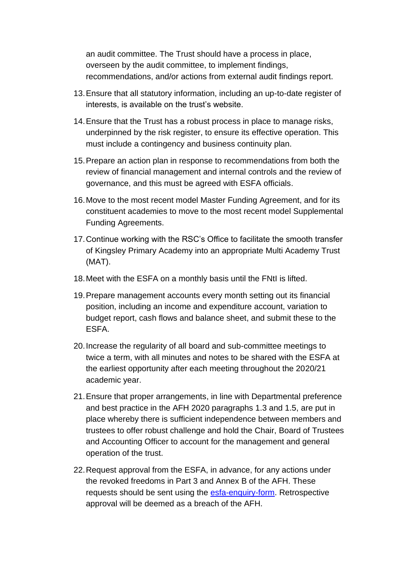an audit committee. The Trust should have a process in place, overseen by the audit committee, to implement findings, recommendations, and/or actions from external audit findings report.

- 13.Ensure that all statutory information, including an up-to-date register of interests, is available on the trust's website.
- 14.Ensure that the Trust has a robust process in place to manage risks, underpinned by the risk register, to ensure its effective operation. This must include a contingency and business continuity plan.
- 15.Prepare an action plan in response to recommendations from both the review of financial management and internal controls and the review of governance, and this must be agreed with ESFA officials.
- 16.Move to the most recent model Master Funding Agreement, and for its constituent academies to move to the most recent model Supplemental Funding Agreements.
- 17.Continue working with the RSC's Office to facilitate the smooth transfer of Kingsley Primary Academy into an appropriate Multi Academy Trust (MAT).
- 18.Meet with the ESFA on a monthly basis until the FNtI is lifted.
- 19.Prepare management accounts every month setting out its financial position, including an income and expenditure account, variation to budget report, cash flows and balance sheet, and submit these to the ESFA.
- 20.Increase the regularity of all board and sub-committee meetings to twice a term, with all minutes and notes to be shared with the ESFA at the earliest opportunity after each meeting throughout the 2020/21 academic year.
- 21.Ensure that proper arrangements, in line with Departmental preference and best practice in the AFH 2020 paragraphs 1.3 and 1.5, are put in place whereby there is sufficient independence between members and trustees to offer robust challenge and hold the Chair, Board of Trustees and Accounting Officer to account for the management and general operation of the trust.
- 22.Request approval from the ESFA, in advance, for any actions under the revoked freedoms in Part 3 and Annex B of the AFH. These requests should be sent using the [esfa-enquiry-form.](https://form.education.gov.uk/en/AchieveForms/?form_uri=sandbox-publish://AF-Process-f9f4f5a1-936f-448b-bbeb-9dcdd595f468/AF-Stage-8aa41278-3cdd-45a3-ad87-80cbffb8b992/definition.json&redirectlink=%2Fen&cancelRedirectLink=%2Fen) Retrospective approval will be deemed as a breach of the AFH.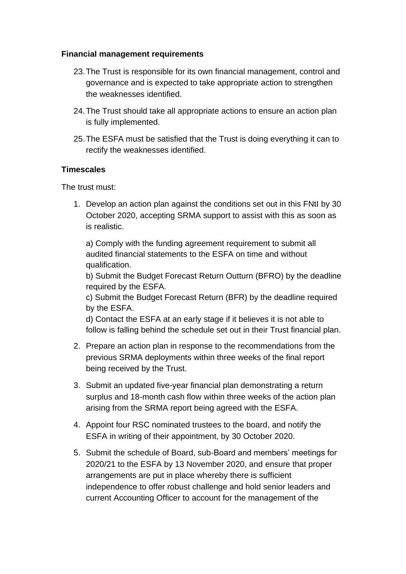## **Financial management requirements**

- 23.The Trust is responsible for its own financial management, control and governance and is expected to take appropriate action to strengthen the weaknesses identified.
- 24.The Trust should take all appropriate actions to ensure an action plan is fully implemented.
- 25.The ESFA must be satisfied that the Trust is doing everything it can to rectify the weaknesses identified.

### **Timescales**

The trust must:

1. Develop an action plan against the conditions set out in this FNtI by 30 October 2020, accepting SRMA support to assist with this as soon as is realistic.

a) Comply with the funding agreement requirement to submit all audited financial statements to the ESFA on time and without qualification.

b) Submit the Budget Forecast Return Outturn (BFRO) by the deadline required by the ESFA.

c) Submit the Budget Forecast Return (BFR) by the deadline required by the ESFA.

d) Contact the ESFA at an early stage if it believes it is not able to follow is falling behind the schedule set out in their Trust financial plan.

- 2. Prepare an action plan in response to the recommendations from the previous SRMA deployments within three weeks of the final report being received by the Trust.
- 3. Submit an updated five-year financial plan demonstrating a return surplus and 18-month cash flow within three weeks of the action plan arising from the SRMA report being agreed with the ESFA.
- 4. Appoint four RSC nominated trustees to the board, and notify the ESFA in writing of their appointment, by 30 October 2020.
- 5. Submit the schedule of Board, sub-Board and members' meetings for 2020/21 to the ESFA by 13 November 2020, and ensure that proper arrangements are put in place whereby there is sufficient independence to offer robust challenge and hold senior leaders and current Accounting Officer to account for the management of the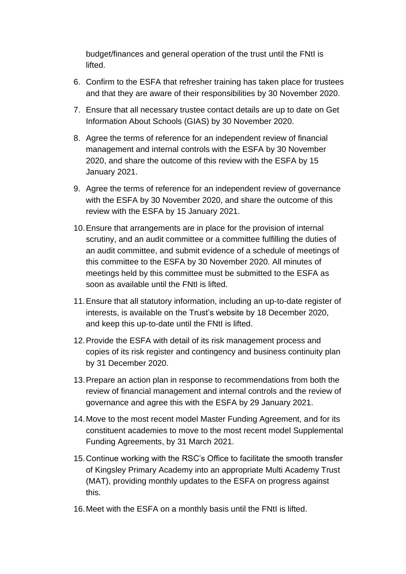budget/finances and general operation of the trust until the FNtI is lifted.

- 6. Confirm to the ESFA that refresher training has taken place for trustees and that they are aware of their responsibilities by 30 November 2020.
- 7. Ensure that all necessary trustee contact details are up to date on Get Information About Schools (GIAS) by 30 November 2020.
- 8. Agree the terms of reference for an independent review of financial management and internal controls with the ESFA by 30 November 2020, and share the outcome of this review with the ESFA by 15 January 2021.
- 9. Agree the terms of reference for an independent review of governance with the ESFA by 30 November 2020, and share the outcome of this review with the ESFA by 15 January 2021.
- 10.Ensure that arrangements are in place for the provision of internal scrutiny, and an audit committee or a committee fulfilling the duties of an audit committee, and submit evidence of a schedule of meetings of this committee to the ESFA by 30 November 2020. All minutes of meetings held by this committee must be submitted to the ESFA as soon as available until the FNtI is lifted.
- 11.Ensure that all statutory information, including an up-to-date register of interests, is available on the Trust's website by 18 December 2020, and keep this up-to-date until the FNtI is lifted.
- 12.Provide the ESFA with detail of its risk management process and copies of its risk register and contingency and business continuity plan by 31 December 2020.
- 13.Prepare an action plan in response to recommendations from both the review of financial management and internal controls and the review of governance and agree this with the ESFA by 29 January 2021.
- 14.Move to the most recent model Master Funding Agreement, and for its constituent academies to move to the most recent model Supplemental Funding Agreements, by 31 March 2021.
- 15.Continue working with the RSC's Office to facilitate the smooth transfer of Kingsley Primary Academy into an appropriate Multi Academy Trust (MAT), providing monthly updates to the ESFA on progress against this.
- 16.Meet with the ESFA on a monthly basis until the FNtI is lifted.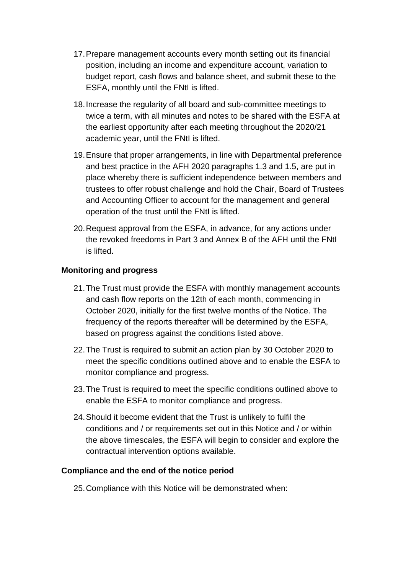- 17.Prepare management accounts every month setting out its financial position, including an income and expenditure account, variation to budget report, cash flows and balance sheet, and submit these to the ESFA, monthly until the FNtI is lifted.
- 18.Increase the regularity of all board and sub-committee meetings to twice a term, with all minutes and notes to be shared with the ESFA at the earliest opportunity after each meeting throughout the 2020/21 academic year, until the FNtI is lifted.
- 19.Ensure that proper arrangements, in line with Departmental preference and best practice in the AFH 2020 paragraphs 1.3 and 1.5, are put in place whereby there is sufficient independence between members and trustees to offer robust challenge and hold the Chair, Board of Trustees and Accounting Officer to account for the management and general operation of the trust until the FNtI is lifted.
- 20.Request approval from the ESFA, in advance, for any actions under the revoked freedoms in Part 3 and Annex B of the AFH until the FNtI is lifted.

### **Monitoring and progress**

- 21.The Trust must provide the ESFA with monthly management accounts and cash flow reports on the 12th of each month, commencing in October 2020, initially for the first twelve months of the Notice. The frequency of the reports thereafter will be determined by the ESFA, based on progress against the conditions listed above.
- 22.The Trust is required to submit an action plan by 30 October 2020 to meet the specific conditions outlined above and to enable the ESFA to monitor compliance and progress.
- 23.The Trust is required to meet the specific conditions outlined above to enable the ESFA to monitor compliance and progress.
- 24.Should it become evident that the Trust is unlikely to fulfil the conditions and / or requirements set out in this Notice and / or within the above timescales, the ESFA will begin to consider and explore the contractual intervention options available.

#### **Compliance and the end of the notice period**

25.Compliance with this Notice will be demonstrated when: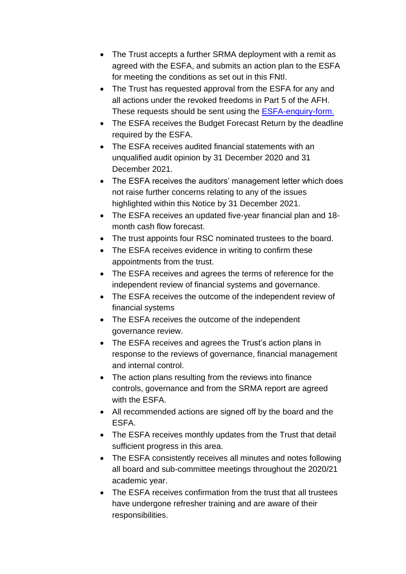- The Trust accepts a further SRMA deployment with a remit as agreed with the ESFA, and submits an action plan to the ESFA for meeting the conditions as set out in this FNtI.
- The Trust has requested approval from the ESFA for any and all actions under the revoked freedoms in Part 5 of the AFH. These requests should be sent using the **ESFA-enquiry-form.**
- The ESFA receives the Budget Forecast Return by the deadline required by the ESFA.
- The ESFA receives audited financial statements with an unqualified audit opinion by 31 December 2020 and 31 December 2021.
- The ESFA receives the auditors' management letter which does not raise further concerns relating to any of the issues highlighted within this Notice by 31 December 2021.
- The ESFA receives an updated five-year financial plan and 18 month cash flow forecast.
- The trust appoints four RSC nominated trustees to the board.
- The ESFA receives evidence in writing to confirm these appointments from the trust.
- The ESFA receives and agrees the terms of reference for the independent review of financial systems and governance.
- The ESFA receives the outcome of the independent review of financial systems
- The ESFA receives the outcome of the independent governance review.
- The ESFA receives and agrees the Trust's action plans in response to the reviews of governance, financial management and internal control.
- The action plans resulting from the reviews into finance controls, governance and from the SRMA report are agreed with the ESFA.
- All recommended actions are signed off by the board and the ESFA.
- The ESFA receives monthly updates from the Trust that detail sufficient progress in this area.
- The ESFA consistently receives all minutes and notes following all board and sub-committee meetings throughout the 2020/21 academic year.
- The ESFA receives confirmation from the trust that all trustees have undergone refresher training and are aware of their responsibilities.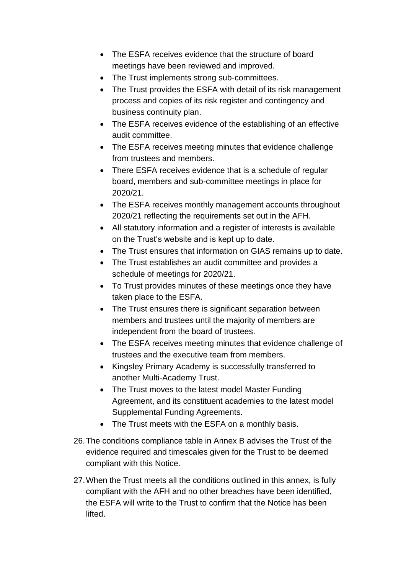- The ESFA receives evidence that the structure of board meetings have been reviewed and improved.
- The Trust implements strong sub-committees.
- The Trust provides the ESFA with detail of its risk management process and copies of its risk register and contingency and business continuity plan.
- The ESFA receives evidence of the establishing of an effective audit committee.
- The ESFA receives meeting minutes that evidence challenge from trustees and members.
- There ESFA receives evidence that is a schedule of regular board, members and sub-committee meetings in place for 2020/21.
- The ESFA receives monthly management accounts throughout 2020/21 reflecting the requirements set out in the AFH.
- All statutory information and a register of interests is available on the Trust's website and is kept up to date.
- The Trust ensures that information on GIAS remains up to date.
- The Trust establishes an audit committee and provides a schedule of meetings for 2020/21.
- To Trust provides minutes of these meetings once they have taken place to the ESFA.
- The Trust ensures there is significant separation between members and trustees until the majority of members are independent from the board of trustees.
- The ESFA receives meeting minutes that evidence challenge of trustees and the executive team from members.
- Kingsley Primary Academy is successfully transferred to another Multi-Academy Trust.
- The Trust moves to the latest model Master Funding Agreement, and its constituent academies to the latest model Supplemental Funding Agreements.
- The Trust meets with the ESFA on a monthly basis.
- 26.The conditions compliance table in Annex B advises the Trust of the evidence required and timescales given for the Trust to be deemed compliant with this Notice.
- 27.When the Trust meets all the conditions outlined in this annex, is fully compliant with the AFH and no other breaches have been identified, the ESFA will write to the Trust to confirm that the Notice has been lifted.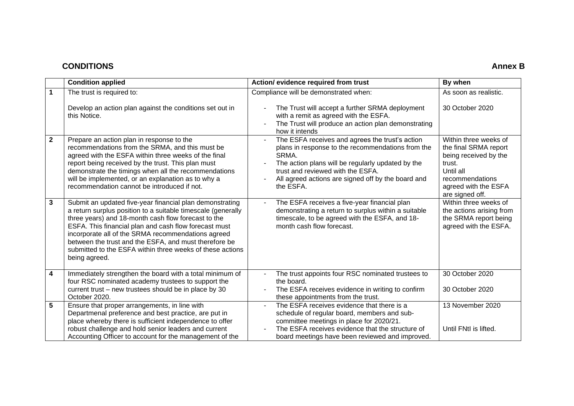#### **CONDITIONS Annex B**

|                         | <b>Condition applied</b>                                                                                                                                                                                                                                                                                                                                                                                                              | Action/evidence required from trust                                                                                                                                                                                                                                        | By when                                                                                                                                                      |
|-------------------------|---------------------------------------------------------------------------------------------------------------------------------------------------------------------------------------------------------------------------------------------------------------------------------------------------------------------------------------------------------------------------------------------------------------------------------------|----------------------------------------------------------------------------------------------------------------------------------------------------------------------------------------------------------------------------------------------------------------------------|--------------------------------------------------------------------------------------------------------------------------------------------------------------|
| $\mathbf{1}$            | The trust is required to:                                                                                                                                                                                                                                                                                                                                                                                                             | Compliance will be demonstrated when:                                                                                                                                                                                                                                      | As soon as realistic.                                                                                                                                        |
|                         | Develop an action plan against the conditions set out in<br>this Notice.                                                                                                                                                                                                                                                                                                                                                              | The Trust will accept a further SRMA deployment<br>with a remit as agreed with the ESFA.<br>The Trust will produce an action plan demonstrating<br>how it intends                                                                                                          | 30 October 2020                                                                                                                                              |
| $\mathbf{2}$            | Prepare an action plan in response to the<br>recommendations from the SRMA, and this must be<br>agreed with the ESFA within three weeks of the final<br>report being received by the trust. This plan must<br>demonstrate the timings when all the recommendations<br>will be implemented, or an explanation as to why a<br>recommendation cannot be introduced if not.                                                               | The ESFA receives and agrees the trust's action<br>plans in response to the recommendations from the<br>SRMA.<br>The action plans will be regularly updated by the<br>trust and reviewed with the ESFA.<br>All agreed actions are signed off by the board and<br>the ESFA. | Within three weeks of<br>the final SRMA report<br>being received by the<br>trust.<br>Until all<br>recommendations<br>agreed with the ESFA<br>are signed off. |
| $\mathbf{3}$            | Submit an updated five-year financial plan demonstrating<br>a return surplus position to a suitable timescale (generally<br>three years) and 18-month cash flow forecast to the<br>ESFA. This financial plan and cash flow forecast must<br>incorporate all of the SRMA recommendations agreed<br>between the trust and the ESFA, and must therefore be<br>submitted to the ESFA within three weeks of these actions<br>being agreed. | The ESFA receives a five-year financial plan<br>demonstrating a return to surplus within a suitable<br>timescale, to be agreed with the ESFA, and 18-<br>month cash flow forecast.                                                                                         | Within three weeks of<br>the actions arising from<br>the SRMA report being<br>agreed with the ESFA.                                                          |
| $\overline{\mathbf{4}}$ | Immediately strengthen the board with a total minimum of<br>four RSC nominated academy trustees to support the<br>current trust – new trustees should be in place by 30<br>October 2020.                                                                                                                                                                                                                                              | The trust appoints four RSC nominated trustees to<br>the board.<br>The ESFA receives evidence in writing to confirm<br>these appointments from the trust.                                                                                                                  | 30 October 2020<br>30 October 2020                                                                                                                           |
| $5\phantom{.0}$         | Ensure that proper arrangements, in line with<br>Departmenal preference and best practice, are put in<br>place whereby there is sufficient independence to offer<br>robust challenge and hold senior leaders and current<br>Accounting Officer to account for the management of the                                                                                                                                                   | The ESFA receives evidence that there is a<br>schedule of regular board, members and sub-<br>committee meetings in place for 2020/21.<br>The ESFA receives evidence that the structure of<br>board meetings have been reviewed and improved.                               | 13 November 2020<br>Until FNtI is lifted.                                                                                                                    |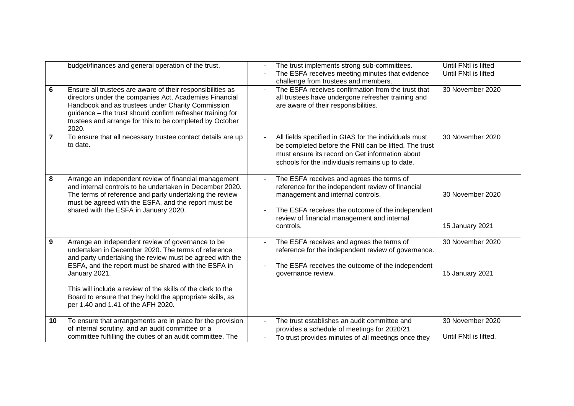| 6                | budget/finances and general operation of the trust.<br>Ensure all trustees are aware of their responsibilities as<br>directors under the companies Act, Academies Financial<br>Handbook and as trustees under Charity Commission<br>guidance - the trust should confirm refresher training for                                                                                                                   | The trust implements strong sub-committees.<br>The ESFA receives meeting minutes that evidence<br>challenge from trustees and members.<br>The ESFA receives confirmation from the trust that<br>all trustees have undergone refresher training and<br>are aware of their responsibilities. | Until FNtI is lifted<br>Until FNtl is lifted<br>30 November 2020 |
|------------------|------------------------------------------------------------------------------------------------------------------------------------------------------------------------------------------------------------------------------------------------------------------------------------------------------------------------------------------------------------------------------------------------------------------|--------------------------------------------------------------------------------------------------------------------------------------------------------------------------------------------------------------------------------------------------------------------------------------------|------------------------------------------------------------------|
| 7                | trustees and arrange for this to be completed by October<br>2020.<br>To ensure that all necessary trustee contact details are up<br>to date.                                                                                                                                                                                                                                                                     | All fields specified in GIAS for the individuals must<br>be completed before the FNtI can be lifted. The trust<br>must ensure its record on Get information about<br>schools for the individuals remains up to date.                                                                       | 30 November 2020                                                 |
| 8                | Arrange an independent review of financial management<br>and internal controls to be undertaken in December 2020.<br>The terms of reference and party undertaking the review<br>must be agreed with the ESFA, and the report must be<br>shared with the ESFA in January 2020.                                                                                                                                    | The ESFA receives and agrees the terms of<br>reference for the independent review of financial<br>management and internal controls.<br>The ESFA receives the outcome of the independent<br>review of financial management and internal<br>controls.                                        | 30 November 2020<br>15 January 2021                              |
| $\boldsymbol{9}$ | Arrange an independent review of governance to be<br>undertaken in December 2020. The terms of reference<br>and party undertaking the review must be agreed with the<br>ESFA, and the report must be shared with the ESFA in<br>January 2021.<br>This will include a review of the skills of the clerk to the<br>Board to ensure that they hold the appropriate skills, as<br>per 1.40 and 1.41 of the AFH 2020. | The ESFA receives and agrees the terms of<br>reference for the independent review of governance.<br>The ESFA receives the outcome of the independent<br>governance review.                                                                                                                 | 30 November 2020<br>15 January 2021                              |
| 10               | To ensure that arrangements are in place for the provision<br>of internal scrutiny, and an audit committee or a<br>committee fulfilling the duties of an audit committee. The                                                                                                                                                                                                                                    | The trust establishes an audit committee and<br>provides a schedule of meetings for 2020/21.<br>To trust provides minutes of all meetings once they                                                                                                                                        | 30 November 2020<br>Until FNtI is lifted.                        |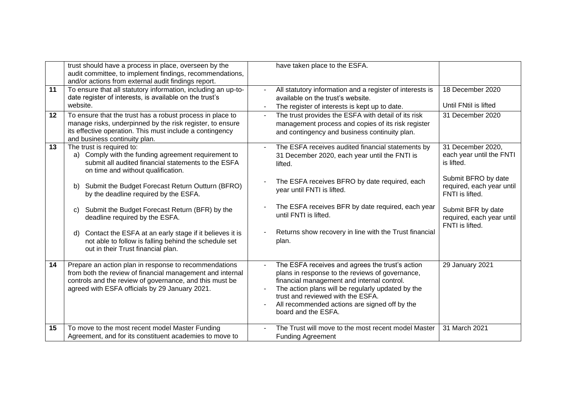|    | trust should have a process in place, overseen by the<br>audit committee, to implement findings, recommendations,<br>and/or actions from external audit findings report. |                | have taken place to the ESFA.                                                                   |                           |
|----|--------------------------------------------------------------------------------------------------------------------------------------------------------------------------|----------------|-------------------------------------------------------------------------------------------------|---------------------------|
| 11 | To ensure that all statutory information, including an up-to-                                                                                                            |                | All statutory information and a register of interests is                                        | 18 December 2020          |
|    | date register of interests, is available on the trust's<br>website.                                                                                                      |                | available on the trust's website.                                                               | Until FNtil is lifted     |
|    |                                                                                                                                                                          |                | The register of interests is kept up to date.                                                   |                           |
| 12 | To ensure that the trust has a robust process in place to<br>manage risks, underpinned by the risk register, to ensure                                                   | $\blacksquare$ | The trust provides the ESFA with detail of its risk                                             | 31 December 2020          |
|    | its effective operation. This must include a contingency                                                                                                                 |                | management process and copies of its risk register                                              |                           |
|    | and business continuity plan.                                                                                                                                            |                | and contingency and business continuity plan.                                                   |                           |
| 13 | The trust is required to:                                                                                                                                                |                | The ESFA receives audited financial statements by                                               | 31 December 2020,         |
|    | a) Comply with the funding agreement requirement to                                                                                                                      |                | 31 December 2020, each year until the FNTI is                                                   | each year until the FNTI  |
|    | submit all audited financial statements to the ESFA                                                                                                                      |                | lifted.                                                                                         | is lifted.                |
|    | on time and without qualification.                                                                                                                                       |                |                                                                                                 | Submit BFRO by date       |
|    | Submit the Budget Forecast Return Outturn (BFRO)<br>b)                                                                                                                   |                | The ESFA receives BFRO by date required, each                                                   | required, each year until |
|    | by the deadline required by the ESFA.                                                                                                                                    |                | year until FNTI is lifted.                                                                      | FNTI is lifted.           |
|    |                                                                                                                                                                          |                |                                                                                                 |                           |
|    | Submit the Budget Forecast Return (BFR) by the<br>C)                                                                                                                     |                | The ESFA receives BFR by date required, each year<br>until FNTI is lifted.                      | Submit BFR by date        |
|    | deadline required by the ESFA.                                                                                                                                           |                |                                                                                                 | required, each year until |
|    | Contact the ESFA at an early stage if it believes it is<br>d)                                                                                                            |                | Returns show recovery in line with the Trust financial                                          | FNTI is lifted.           |
|    | not able to follow is falling behind the schedule set                                                                                                                    |                | plan.                                                                                           |                           |
|    | out in their Trust financial plan.                                                                                                                                       |                |                                                                                                 |                           |
|    |                                                                                                                                                                          |                |                                                                                                 |                           |
| 14 | Prepare an action plan in response to recommendations                                                                                                                    |                | The ESFA receives and agrees the trust's action                                                 | 29 January 2021           |
|    | from both the review of financial management and internal                                                                                                                |                | plans in response to the reviews of governance,                                                 |                           |
|    | controls and the review of governance, and this must be<br>agreed with ESFA officials by 29 January 2021.                                                                |                | financial management and internal control.<br>The action plans will be regularly updated by the |                           |
|    |                                                                                                                                                                          |                | trust and reviewed with the ESFA.                                                               |                           |
|    |                                                                                                                                                                          |                | All recommended actions are signed off by the                                                   |                           |
|    |                                                                                                                                                                          |                | board and the ESFA.                                                                             |                           |
|    |                                                                                                                                                                          |                |                                                                                                 |                           |
| 15 | To move to the most recent model Master Funding                                                                                                                          |                | The Trust will move to the most recent model Master                                             | 31 March 2021             |
|    | Agreement, and for its constituent academies to move to                                                                                                                  |                | <b>Funding Agreement</b>                                                                        |                           |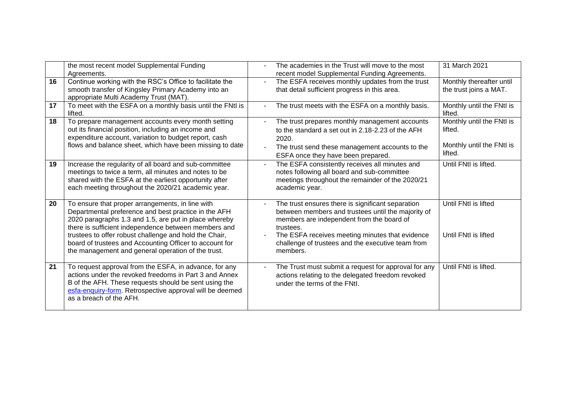|    | the most recent model Supplemental Funding<br>Agreements.                                                                                                                                                                                                                                                                                                                                            | The academies in the Trust will move to the most<br>recent model Supplemental Funding Agreements.                                                                                                                                                                                     | 31 March 2021                                                                |
|----|------------------------------------------------------------------------------------------------------------------------------------------------------------------------------------------------------------------------------------------------------------------------------------------------------------------------------------------------------------------------------------------------------|---------------------------------------------------------------------------------------------------------------------------------------------------------------------------------------------------------------------------------------------------------------------------------------|------------------------------------------------------------------------------|
| 16 | Continue working with the RSC's Office to facilitate the<br>smooth transfer of Kingsley Primary Academy into an<br>appropriate Multi Academy Trust (MAT).                                                                                                                                                                                                                                            | The ESFA receives monthly updates from the trust<br>that detail sufficient progress in this area.                                                                                                                                                                                     | Monthly thereafter until<br>the trust joins a MAT.                           |
| 17 | To meet with the ESFA on a monthly basis until the FNtI is<br>lifted.                                                                                                                                                                                                                                                                                                                                | The trust meets with the ESFA on a monthly basis.                                                                                                                                                                                                                                     | Monthly until the FNtI is<br>lifted.                                         |
| 18 | To prepare management accounts every month setting<br>out its financial position, including an income and<br>expenditure account, variation to budget report, cash<br>flows and balance sheet, which have been missing to date                                                                                                                                                                       | The trust prepares monthly management accounts<br>to the standard a set out in 2.18-2.23 of the AFH<br>2020.<br>The trust send these management accounts to the<br>ESFA once they have been prepared.                                                                                 | Monthly until the FNtI is<br>lifted.<br>Monthly until the FNtI is<br>lifted. |
| 19 | Increase the regularity of all board and sub-committee<br>meetings to twice a term, all minutes and notes to be<br>shared with the ESFA at the earliest opportunity after<br>each meeting throughout the 2020/21 academic year.                                                                                                                                                                      | The ESFA consistently receives all minutes and<br>notes following all board and sub-committee<br>meetings throughout the remainder of the 2020/21<br>academic year.                                                                                                                   | Until FNtI is lifted.                                                        |
| 20 | To ensure that proper arrangements, in line with<br>Departmental preference and best practice in the AFH<br>2020 paragraphs 1.3 and 1.5, are put in place whereby<br>there is sufficient independence between members and<br>trustees to offer robust challenge and hold the Chair,<br>board of trustees and Accounting Officer to account for<br>the management and general operation of the trust. | The trust ensures there is significant separation<br>between members and trustees until the majority of<br>members are independent from the board of<br>trustees.<br>The ESFA receives meeting minutes that evidence<br>challenge of trustees and the executive team from<br>members. | Until FNtI is lifted<br>Until FNtI is lifted                                 |
| 21 | To request approval from the ESFA, in advance, for any<br>actions under the revoked freedoms in Part 3 and Annex<br>B of the AFH. These requests should be sent using the<br>esfa-enquiry-form. Retrospective approval will be deemed<br>as a breach of the AFH.                                                                                                                                     | The Trust must submit a request for approval for any<br>actions relating to the delegated freedom revoked<br>under the terms of the FNtl.                                                                                                                                             | Until FNtI is lifted.                                                        |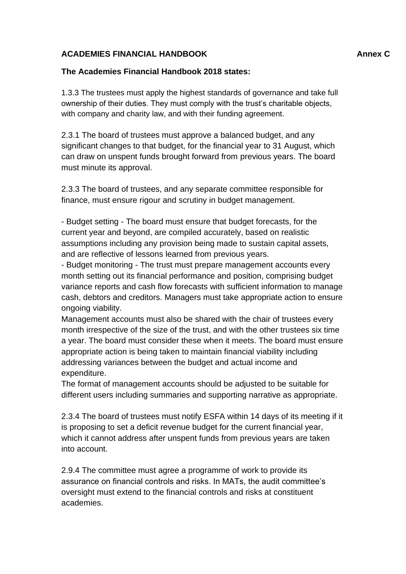# **ACADEMIES FINANCIAL HANDBOOK Annex C**

# **The Academies Financial Handbook 2018 states:**

1.3.3 The trustees must apply the highest standards of governance and take full ownership of their duties. They must comply with the trust's charitable objects, with company and charity law, and with their funding agreement.

2.3.1 The board of trustees must approve a balanced budget, and any significant changes to that budget, for the financial year to 31 August, which can draw on unspent funds brought forward from previous years. The board must minute its approval.

2.3.3 The board of trustees, and any separate committee responsible for finance, must ensure rigour and scrutiny in budget management.

- Budget setting - The board must ensure that budget forecasts, for the current year and beyond, are compiled accurately, based on realistic assumptions including any provision being made to sustain capital assets, and are reflective of lessons learned from previous years.

- Budget monitoring - The trust must prepare management accounts every month setting out its financial performance and position, comprising budget variance reports and cash flow forecasts with sufficient information to manage cash, debtors and creditors. Managers must take appropriate action to ensure ongoing viability.

Management accounts must also be shared with the chair of trustees every month irrespective of the size of the trust, and with the other trustees six time a year. The board must consider these when it meets. The board must ensure appropriate action is being taken to maintain financial viability including addressing variances between the budget and actual income and expenditure.

The format of management accounts should be adjusted to be suitable for different users including summaries and supporting narrative as appropriate.

2.3.4 The board of trustees must notify ESFA within 14 days of its meeting if it is proposing to set a deficit revenue budget for the current financial year, which it cannot address after unspent funds from previous years are taken into account.

2.9.4 The committee must agree a programme of work to provide its assurance on financial controls and risks. In MATs, the audit committee's oversight must extend to the financial controls and risks at constituent academies.